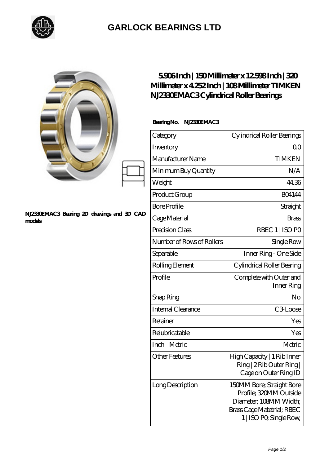

## **[GARLOCK BEARINGS LTD](https://m.letterstopriests.com)**

|                                                       | 5906Inch   150Millimeter x 12598Inch   320<br>Millimeter x 4252 Inch   108 Millimeter TIMKEN<br>N.IZ330EMAC3Cylindrical Roller Bearings |                                                                                                                                        |
|-------------------------------------------------------|-----------------------------------------------------------------------------------------------------------------------------------------|----------------------------------------------------------------------------------------------------------------------------------------|
| N.I2330EMAC3 Bearing 2D drawings and 3D CAD<br>models | BearingNo.<br>NJ2330EMAC3                                                                                                               |                                                                                                                                        |
|                                                       | Category                                                                                                                                | Cylindrical Roller Bearings                                                                                                            |
|                                                       | Inventory                                                                                                                               | QO                                                                                                                                     |
|                                                       | Manufacturer Name                                                                                                                       | <b>TIMKEN</b>                                                                                                                          |
|                                                       | Minimum Buy Quantity                                                                                                                    | N/A                                                                                                                                    |
|                                                       | Weight                                                                                                                                  | 44.36                                                                                                                                  |
|                                                       | Product Group                                                                                                                           | <b>BO4144</b>                                                                                                                          |
|                                                       | <b>Bore Profile</b>                                                                                                                     | Straight                                                                                                                               |
|                                                       | Cage Material                                                                                                                           | <b>Brass</b>                                                                                                                           |
|                                                       | Precision Class                                                                                                                         | RBEC 1   ISO PO                                                                                                                        |
|                                                       | Number of Rows of Rollers                                                                                                               | Single Row                                                                                                                             |
|                                                       | Separable                                                                                                                               | Inner Ring - One Side                                                                                                                  |
|                                                       | Rolling Element                                                                                                                         | Cylindrical Roller Bearing                                                                                                             |
|                                                       | Profile                                                                                                                                 | Complete with Outer and<br>Inner Ring                                                                                                  |
|                                                       | Snap Ring                                                                                                                               | No                                                                                                                                     |
|                                                       | Internal Clearance                                                                                                                      | C3Loose                                                                                                                                |
|                                                       | Retainer                                                                                                                                | Yes                                                                                                                                    |
|                                                       | Relubricatable                                                                                                                          | Yes                                                                                                                                    |
|                                                       | Inch - Metric                                                                                                                           | Metric                                                                                                                                 |
|                                                       | <b>Other Features</b>                                                                                                                   | High Capacity   1 Rib Inner<br>Ring   2 Rib Outer Ring  <br>Cage on Outer Ring ID                                                      |
|                                                       | Long Description                                                                                                                        | 150MM Bore; Straight Bore<br>Profile; 320MM Outside<br>Diameter; 108MM Width;<br>Brass Cage Matetrial; RBEC<br>1   ISO PO, Single Row, |